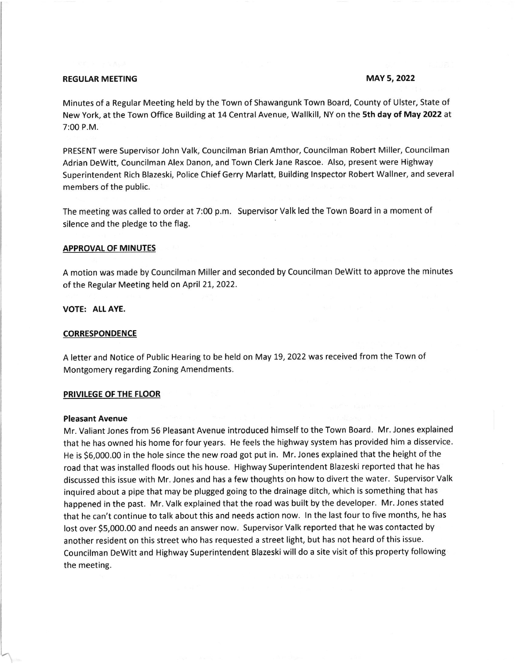# REGULAR MEETING MAY 5, 2022

Minutes of a Regular Meeting held by the Town of Shawangunk Town Board, County of Ulster, State of New York, at the Town Office Building at 14 Central Avenue, Wallkill, NY on the 5th day of May 2022 at 7:00 P.M.

PRESENT were Supervisor John Valk, Councilman Brian Amthor, Councilman Robert Miller, Councilman Adrian DeWitt, Councilman Alex Danon, and Town Clerk Jane Rascoe. Also, present were Highway Superintendent Rich Blazeski, Police Chief Gerry Marlatt, Building Inspector Robert Wallner, and several members of the public.

The meeting was called to order at 7:00 p.m. Supervisor Valk led the Town Board in a moment of silence and the pledge to the flag.

## APPROVAL OF MINUTES

A motion was made by Councilman Miller and seconded by Councilman Dewitt to approve the minutes of the Regular Meeting held on April 21, 2022.

# VOTE: ALL AYE.

### CORRESPONDENCE

A letter and Notice of Public Hearing to be held on May 19, 2022 was received from the Town of Montgomery regarding Zoning Amendments.

### PRIVILEGE OF THE FLOOR

#### Pleasant Avenue

Mr. Valiant Jones from 55 Pleasant Avenue introduced himself to the Town Board. Mr. Jones explained that he has owned his home for four years. He feels the highway system has provided him a disservice. He is 56,000.00 in the hole since the new road got put in. Mr. Jones explained that the height of the road that was installed floods out his house. Highway Superintendent Blazeski reported that he has discussed this issue with Mr. Jones and has a few thoughts on how to divert the water. Supervisor Valk inquired about a pipe that may be plugged going to the drainage ditch, which is something that has happened in the past. Mr. Valk explained that the road was built by the developer. Mr. Jones stated that he can't continue to talk about this and needs action now. ln the last four to five months, he has lost over \$5,000.00 and needs an answer now. Supervisor Valk reported that he was contacted by another resident on this street who has requested a street light, but has not heard of this issue. Councilman Dewitt and Highway Superintendent Blazeski will do a site visit of this property following the meeting.